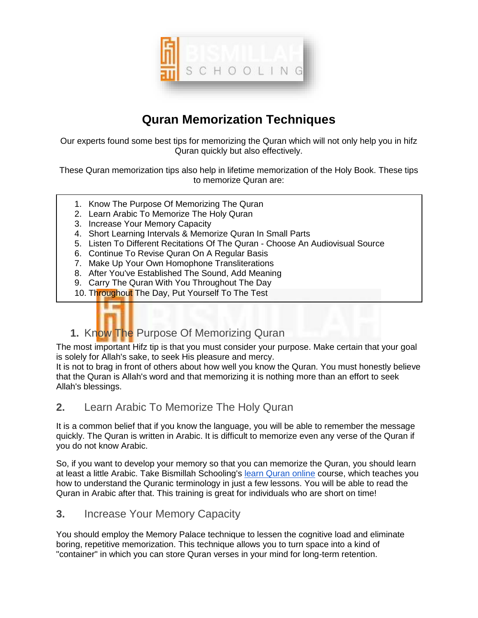

# **Quran Memorization Techniques**

Our experts found some best tips for memorizing the Quran which will not only help you in hifz Quran quickly but also effectively.

These Quran memorization tips also help in lifetime memorization of the Holy Book. These tips to memorize Quran are:

- 1. Know The Purpose Of Memorizing The Quran
- 2. Learn Arabic To Memorize The Holy Quran
- 3. Increase Your Memory Capacity
- 4. Short Learning Intervals & Memorize Quran In Small Parts
- 5. Listen To Different Recitations Of The Quran Choose An Audiovisual Source
- 6. Continue To Revise Quran On A Regular Basis
- 7. Make Up Your Own Homophone Transliterations
- 8. After You've Established The Sound, Add Meaning
- 9. Carry The Quran With You Throughout The Day
- 10. Throughout The Day, Put Yourself To The Test



**1.** Know The Purpose Of Memorizing Quran

The most important Hifz tip is that you must consider your purpose. Make certain that your goal is solely for Allah's sake, to seek His pleasure and mercy.

It is not to brag in front of others about how well you know the Quran. You must honestly believe that the Quran is Allah's word and that memorizing it is nothing more than an effort to seek Allah's blessings.

#### **2.** Learn Arabic To Memorize The Holy Quran

It is a common belief that if you know the language, you will be able to remember the message quickly. The Quran is written in Arabic. It is difficult to memorize even any verse of the Quran if you do not know Arabic.

So, if you want to develop your memory so that you can memorize the Quran, you should learn at least a little Arabic. Take Bismillah Schooling's [learn Quran online](https://bismillahschooling.com/learn-quran-online/) course, which teaches you how to understand the Quranic terminology in just a few lessons. You will be able to read the Quran in Arabic after that. This training is great for individuals who are short on time!

#### **3.** Increase Your Memory Capacity

You should employ the Memory Palace technique to lessen the cognitive load and eliminate boring, repetitive memorization. This technique allows you to turn space into a kind of "container" in which you can store Quran verses in your mind for long-term retention.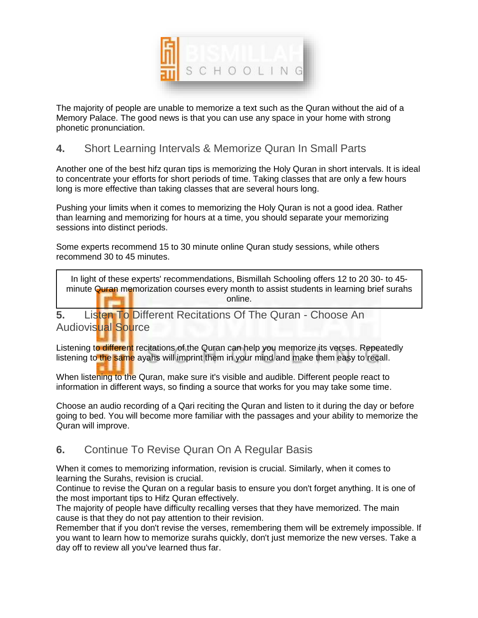

The majority of people are unable to memorize a text such as the Quran without the aid of a Memory Palace. The good news is that you can use any space in your home with strong phonetic pronunciation.

#### **4.** Short Learning Intervals & Memorize Quran In Small Parts

Another one of the best hifz quran tips is memorizing the Holy Quran in short intervals. It is ideal to concentrate your efforts for short periods of time. Taking classes that are only a few hours long is more effective than taking classes that are several hours long.

Pushing your limits when it comes to memorizing the Holy Quran is not a good idea. Rather than learning and memorizing for hours at a time, you should separate your memorizing sessions into distinct periods.

Some experts recommend 15 to 30 minute online Quran study sessions, while others recommend 30 to 45 minutes.

In light of these experts' recommendations, Bismillah Schooling offers 12 to 20 30- to 45 minute Quran memorization courses every month to assist students in learning brief surahs online.

**5.** Listen To Different Recitations Of The Quran - Choose An **Audiovisual Source** 

Listening to different recitations of the Quran can help you memorize its verses. Repeatedly listening to the same ayahs will imprint them in your mind and make them easy to recall.

When listening to the Quran, make sure it's visible and audible. Different people react to information in different ways, so finding a source that works for you may take some time.

Choose an audio recording of a Qari reciting the Quran and listen to it during the day or before going to bed. You will become more familiar with the passages and your ability to memorize the Quran will improve.

#### **6.** Continue To Revise Quran On A Regular Basis

When it comes to memorizing information, revision is crucial. Similarly, when it comes to learning the Surahs, revision is crucial.

Continue to revise the Quran on a regular basis to ensure you don't forget anything. It is one of the most important tips to Hifz Quran effectively.

The majority of people have difficulty recalling verses that they have memorized. The main cause is that they do not pay attention to their revision.

Remember that if you don't revise the verses, remembering them will be extremely impossible. If you want to learn how to memorize surahs quickly, don't just memorize the new verses. Take a day off to review all you've learned thus far.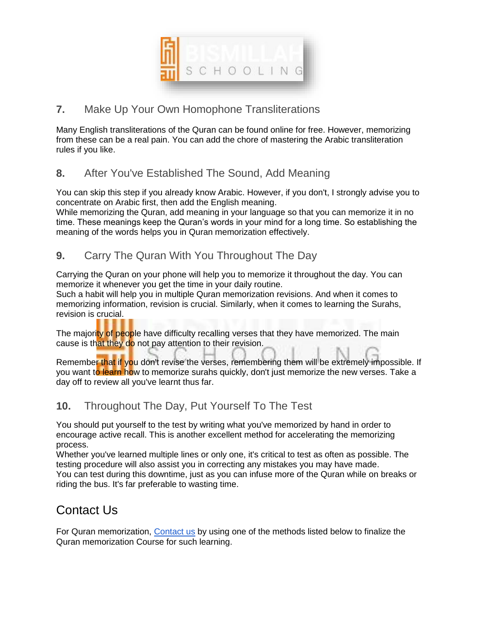

### **7.** Make Up Your Own Homophone Transliterations

Many English transliterations of the Quran can be found online for free. However, memorizing from these can be a real pain. You can add the chore of mastering the Arabic transliteration rules if you like.

### **8.** After You've Established The Sound, Add Meaning

You can skip this step if you already know Arabic. However, if you don't, I strongly advise you to concentrate on Arabic first, then add the English meaning.

While memorizing the Quran, add meaning in your language so that you can memorize it in no time. These meanings keep the Quran's words in your mind for a long time. So establishing the meaning of the words helps you in Quran memorization effectively.

#### **9.** Carry The Quran With You Throughout The Day

Carrying the Quran on your phone will help you to memorize it throughout the day. You can memorize it whenever you get the time in your daily routine.

Such a habit will help you in multiple Quran memorization revisions. And when it comes to memorizing information, revision is crucial. Similarly, when it comes to learning the Surahs, revision is crucial.

The majority of people have difficulty recalling verses that they have memorized. The main cause is that they do not pay attention to their revision.

Remember that if you don't revise the verses, remembering them will be extremely impossible. If you want to learn how to memorize surahs quickly, don't just memorize the new verses. Take a day off to review all you've learnt thus far.

#### **10.** Throughout The Day, Put Yourself To The Test

You should put yourself to the test by writing what you've memorized by hand in order to encourage active recall. This is another excellent method for accelerating the memorizing process.

Whether you've learned multiple lines or only one, it's critical to test as often as possible. The testing procedure will also assist you in correcting any mistakes you may have made. You can test during this downtime, just as you can infuse more of the Quran while on breaks or riding the bus. It's far preferable to wasting time.

## Contact Us

For Quran memorization, [Contact us](https://bismillahschooling.com/contact/) by using one of the methods listed below to finalize the Quran memorization Course for such learning.